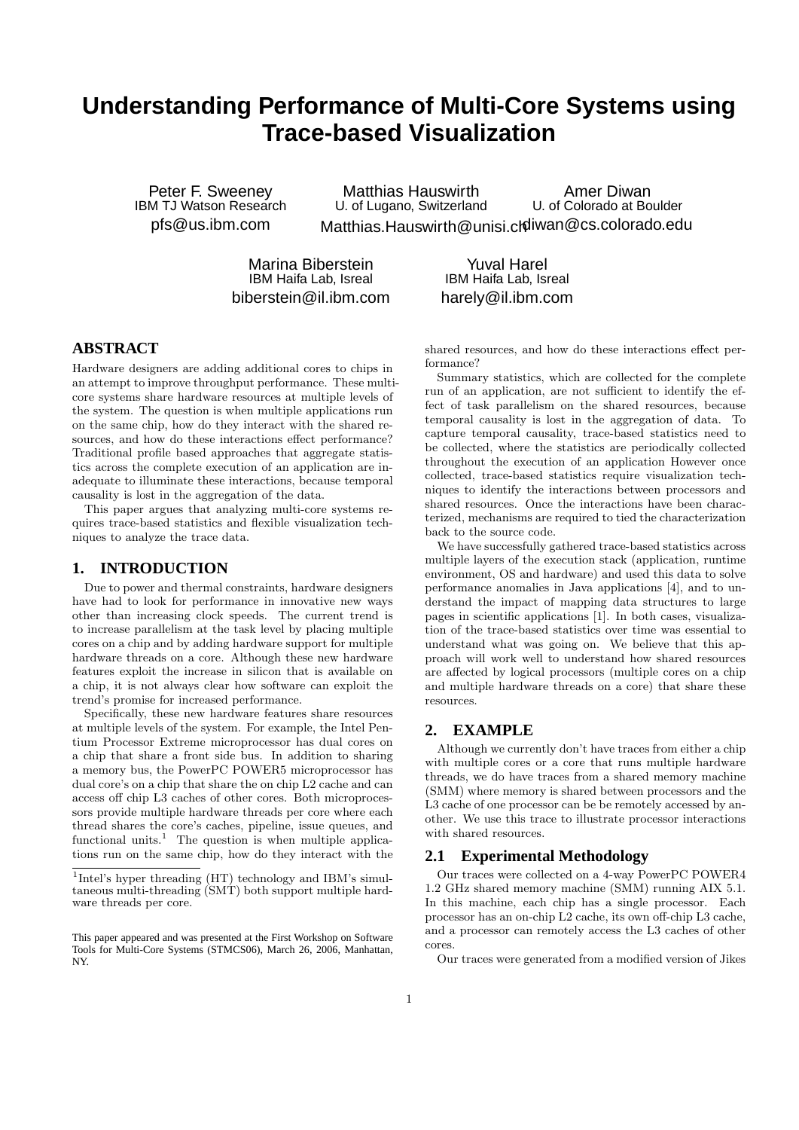# **Understanding Performance of Multi-Core Systems using Trace-based Visualization**

Peter F. Sweeney IBM TJ Watson Research pfs@us.ibm.com

Matthias Hauswirth U. of Lugano, Switzerland Matthias.Hauswirth@unisi.ch diwan@cs.colorado.edu Amer Diwan U. of Colorado at Boulder

Marina Biberstein IBM Haifa Lab, Isreal biberstein@il.ibm.com

Yuval Harel IBM Haifa Lab, Isreal harely@il.ibm.com

## **ABSTRACT**

Hardware designers are adding additional cores to chips in an attempt to improve throughput performance. These multicore systems share hardware resources at multiple levels of the system. The question is when multiple applications run on the same chip, how do they interact with the shared resources, and how do these interactions effect performance? Traditional profile based approaches that aggregate statistics across the complete execution of an application are inadequate to illuminate these interactions, because temporal causality is lost in the aggregation of the data.

This paper argues that analyzing multi-core systems requires trace-based statistics and flexible visualization techniques to analyze the trace data.

## **1. INTRODUCTION**

Due to power and thermal constraints, hardware designers have had to look for performance in innovative new ways other than increasing clock speeds. The current trend is to increase parallelism at the task level by placing multiple cores on a chip and by adding hardware support for multiple hardware threads on a core. Although these new hardware features exploit the increase in silicon that is available on a chip, it is not always clear how software can exploit the trend's promise for increased performance.

Specifically, these new hardware features share resources at multiple levels of the system. For example, the Intel Pentium Processor Extreme microprocessor has dual cores on a chip that share a front side bus. In addition to sharing a memory bus, the PowerPC POWER5 microprocessor has dual core's on a chip that share the on chip L2 cache and can access off chip L3 caches of other cores. Both microprocessors provide multiple hardware threads per core where each thread shares the core's caches, pipeline, issue queues, and functional units.<sup>1</sup> The question is when multiple applications run on the same chip, how do they interact with the shared resources, and how do these interactions effect performance?

Summary statistics, which are collected for the complete run of an application, are not sufficient to identify the effect of task parallelism on the shared resources, because temporal causality is lost in the aggregation of data. To capture temporal causality, trace-based statistics need to be collected, where the statistics are periodically collected throughout the execution of an application However once collected, trace-based statistics require visualization techniques to identify the interactions between processors and shared resources. Once the interactions have been characterized, mechanisms are required to tied the characterization back to the source code.

We have successfully gathered trace-based statistics across multiple layers of the execution stack (application, runtime environment, OS and hardware) and used this data to solve performance anomalies in Java applications [4], and to understand the impact of mapping data structures to large pages in scientific applications [1]. In both cases, visualization of the trace-based statistics over time was essential to understand what was going on. We believe that this approach will work well to understand how shared resources are affected by logical processors (multiple cores on a chip and multiple hardware threads on a core) that share these resources.

## **2. EXAMPLE**

Although we currently don't have traces from either a chip with multiple cores or a core that runs multiple hardware threads, we do have traces from a shared memory machine (SMM) where memory is shared between processors and the L3 cache of one processor can be be remotely accessed by another. We use this trace to illustrate processor interactions with shared resources.

### **2.1 Experimental Methodology**

Our traces were collected on a 4-way PowerPC POWER4 1.2 GHz shared memory machine (SMM) running AIX 5.1. In this machine, each chip has a single processor. Each processor has an on-chip L2 cache, its own off-chip L3 cache, and a processor can remotely access the L3 caches of other cores.

Our traces were generated from a modified version of Jikes

<sup>&</sup>lt;sup>1</sup>Intel's hyper threading (HT) technology and IBM's simultaneous multi-threading (SMT) both support multiple hardware threads per core.

This paper appeared and was presented at the First Workshop on Software Tools for Multi-Core Systems (STMCS06), March 26, 2006, Manhattan, NY.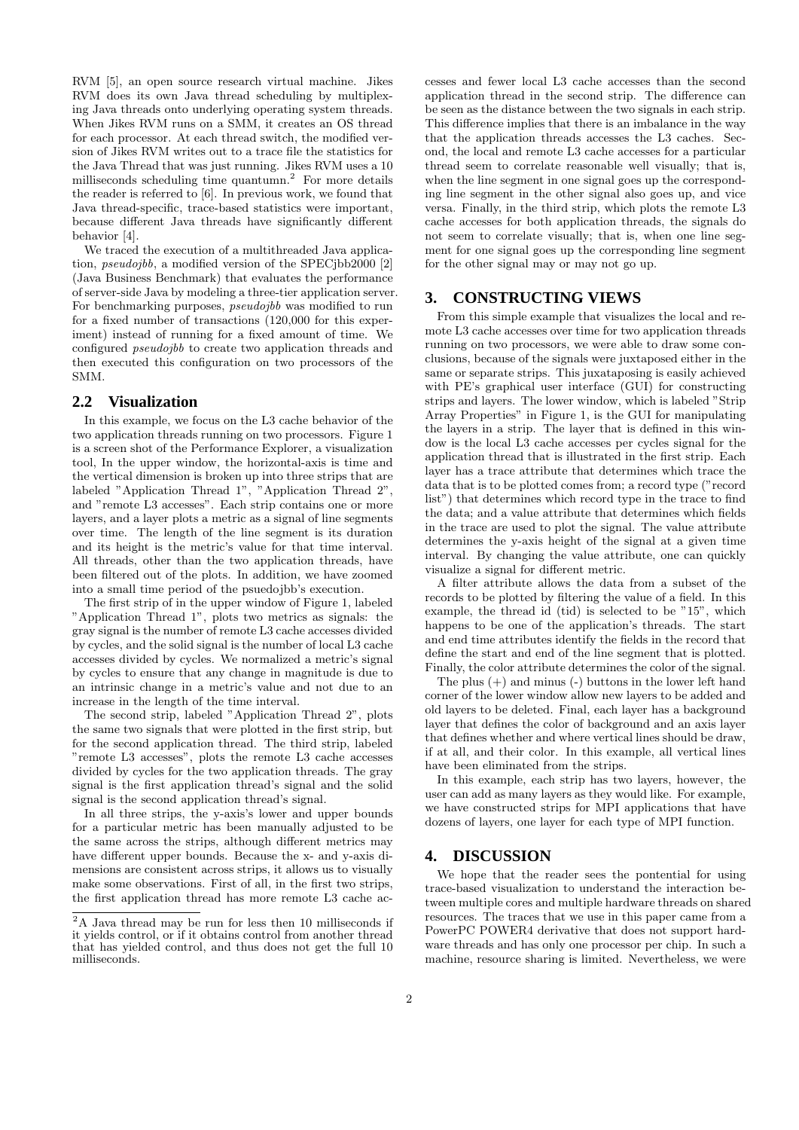RVM [5], an open source research virtual machine. Jikes RVM does its own Java thread scheduling by multiplexing Java threads onto underlying operating system threads. When Jikes RVM runs on a SMM, it creates an OS thread for each processor. At each thread switch, the modified version of Jikes RVM writes out to a trace file the statistics for the Java Thread that was just running. Jikes RVM uses a 10 milliseconds scheduling time quantumn.<sup>2</sup> For more details the reader is referred to [6]. In previous work, we found that Java thread-specific, trace-based statistics were important, because different Java threads have significantly different behavior [4].

We traced the execution of a multithreaded Java application, pseudojbb, a modified version of the SPECjbb2000 [2] (Java Business Benchmark) that evaluates the performance of server-side Java by modeling a three-tier application server. For benchmarking purposes, pseudojbb was modified to run for a fixed number of transactions (120,000 for this experiment) instead of running for a fixed amount of time. We configured pseudojbb to create two application threads and then executed this configuration on two processors of the SMM.

#### **2.2 Visualization**

In this example, we focus on the L3 cache behavior of the two application threads running on two processors. Figure 1 is a screen shot of the Performance Explorer, a visualization tool, In the upper window, the horizontal-axis is time and the vertical dimension is broken up into three strips that are labeled "Application Thread 1", "Application Thread 2", and "remote L3 accesses". Each strip contains one or more layers, and a layer plots a metric as a signal of line segments over time. The length of the line segment is its duration and its height is the metric's value for that time interval. All threads, other than the two application threads, have been filtered out of the plots. In addition, we have zoomed into a small time period of the psuedojbb's execution.

The first strip of in the upper window of Figure 1, labeled "Application Thread 1", plots two metrics as signals: the gray signal is the number of remote L3 cache accesses divided by cycles, and the solid signal is the number of local L3 cache accesses divided by cycles. We normalized a metric's signal by cycles to ensure that any change in magnitude is due to an intrinsic change in a metric's value and not due to an increase in the length of the time interval.

The second strip, labeled "Application Thread 2", plots the same two signals that were plotted in the first strip, but for the second application thread. The third strip, labeled "remote L3 accesses", plots the remote L3 cache accesses divided by cycles for the two application threads. The gray signal is the first application thread's signal and the solid signal is the second application thread's signal.

In all three strips, the y-axis's lower and upper bounds for a particular metric has been manually adjusted to be the same across the strips, although different metrics may have different upper bounds. Because the x- and y-axis dimensions are consistent across strips, it allows us to visually make some observations. First of all, in the first two strips, the first application thread has more remote L3 cache ac-

cesses and fewer local L3 cache accesses than the second application thread in the second strip. The difference can be seen as the distance between the two signals in each strip. This difference implies that there is an imbalance in the way that the application threads accesses the L3 caches. Second, the local and remote L3 cache accesses for a particular thread seem to correlate reasonable well visually; that is, when the line segment in one signal goes up the corresponding line segment in the other signal also goes up, and vice versa. Finally, in the third strip, which plots the remote L3 cache accesses for both application threads, the signals do not seem to correlate visually; that is, when one line segment for one signal goes up the corresponding line segment for the other signal may or may not go up.

### **3. CONSTRUCTING VIEWS**

From this simple example that visualizes the local and remote L3 cache accesses over time for two application threads running on two processors, we were able to draw some conclusions, because of the signals were juxtaposed either in the same or separate strips. This juxataposing is easily achieved with PE's graphical user interface (GUI) for constructing strips and layers. The lower window, which is labeled "Strip Array Properties" in Figure 1, is the GUI for manipulating the layers in a strip. The layer that is defined in this window is the local L3 cache accesses per cycles signal for the application thread that is illustrated in the first strip. Each layer has a trace attribute that determines which trace the data that is to be plotted comes from; a record type ("record list") that determines which record type in the trace to find the data; and a value attribute that determines which fields in the trace are used to plot the signal. The value attribute determines the y-axis height of the signal at a given time interval. By changing the value attribute, one can quickly visualize a signal for different metric.

A filter attribute allows the data from a subset of the records to be plotted by filtering the value of a field. In this example, the thread id (tid) is selected to be "15", which happens to be one of the application's threads. The start and end time attributes identify the fields in the record that define the start and end of the line segment that is plotted. Finally, the color attribute determines the color of the signal.

The plus (+) and minus (-) buttons in the lower left hand corner of the lower window allow new layers to be added and old layers to be deleted. Final, each layer has a background layer that defines the color of background and an axis layer that defines whether and where vertical lines should be draw, if at all, and their color. In this example, all vertical lines have been eliminated from the strips.

In this example, each strip has two layers, however, the user can add as many layers as they would like. For example, we have constructed strips for MPI applications that have dozens of layers, one layer for each type of MPI function.

#### **4. DISCUSSION**

We hope that the reader sees the pontential for using trace-based visualization to understand the interaction between multiple cores and multiple hardware threads on shared resources. The traces that we use in this paper came from a PowerPC POWER4 derivative that does not support hardware threads and has only one processor per chip. In such a machine, resource sharing is limited. Nevertheless, we were

 $\overline{2\,\mathrm{A}}$ Java thread may be run for less then 10 milliseconds if it yields control, or if it obtains control from another thread that has yielded control, and thus does not get the full 10 milliseconds.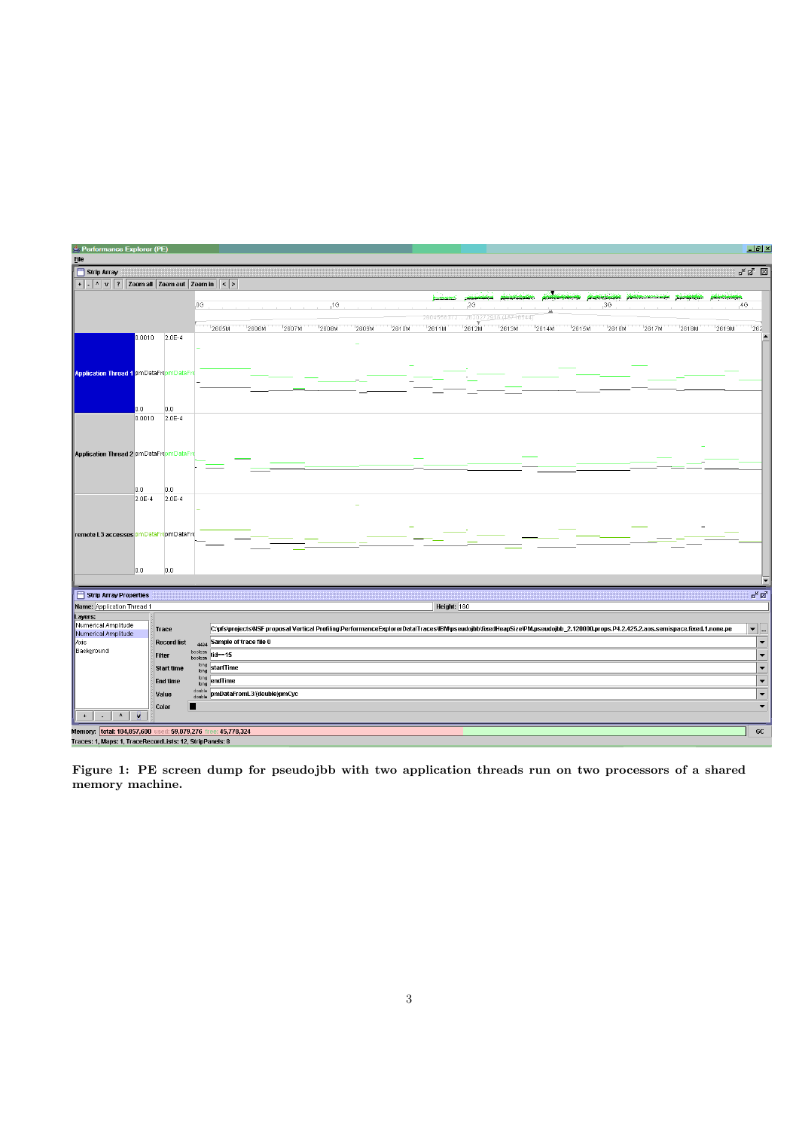

Figure 1: PE screen dump for pseudojbb with two application threads run on two processors of a shared memory machine.